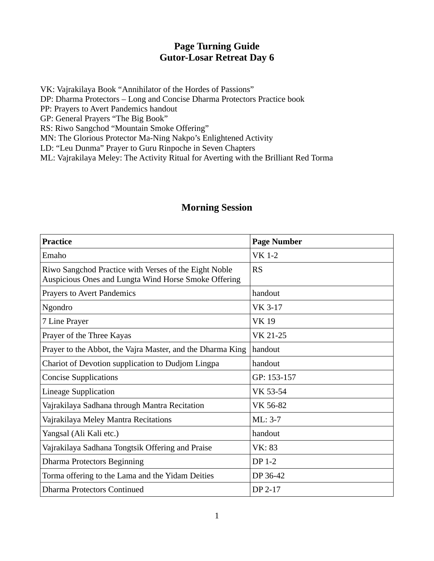## **Page Turning Guide Gutor-Losar Retreat Day 6**

VK: Vajrakilaya Book "Annihilator of the Hordes of Passions" DP: Dharma Protectors – Long and Concise Dharma Protectors Practice book PP: Prayers to Avert Pandemics handout GP: General Prayers "The Big Book" RS: Riwo Sangchod "Mountain Smoke Offering" MN: The Glorious Protector Ma-Ning Nakpo's Enlightened Activity

LD: "Leu Dunma" Prayer to Guru Rinpoche in Seven Chapters

ML: Vajrakilaya Meley: The Activity Ritual for Averting with the Brilliant Red Torma

## **Morning Session**

| <b>Practice</b>                                                                                               | <b>Page Number</b> |
|---------------------------------------------------------------------------------------------------------------|--------------------|
| Emaho                                                                                                         | <b>VK 1-2</b>      |
| Riwo Sangchod Practice with Verses of the Eight Noble<br>Auspicious Ones and Lungta Wind Horse Smoke Offering | <b>RS</b>          |
| <b>Prayers to Avert Pandemics</b>                                                                             | handout            |
| Ngondro                                                                                                       | VK 3-17            |
| 7 Line Prayer                                                                                                 | <b>VK19</b>        |
| Prayer of the Three Kayas                                                                                     | VK 21-25           |
| Prayer to the Abbot, the Vajra Master, and the Dharma King                                                    | handout            |
| Chariot of Devotion supplication to Dudjom Lingpa                                                             | handout            |
| <b>Concise Supplications</b>                                                                                  | GP: 153-157        |
| <b>Lineage Supplication</b>                                                                                   | VK 53-54           |
| Vajrakilaya Sadhana through Mantra Recitation                                                                 | VK 56-82           |
| Vajrakilaya Meley Mantra Recitations                                                                          | $ML: 3-7$          |
| Yangsal (Ali Kali etc.)                                                                                       | handout            |
| Vajrakilaya Sadhana Tongtsik Offering and Praise                                                              | VK: 83             |
| <b>Dharma Protectors Beginning</b>                                                                            | <b>DP 1-2</b>      |
| Torma offering to the Lama and the Yidam Deities                                                              | DP 36-42           |
| Dharma Protectors Continued                                                                                   | DP 2-17            |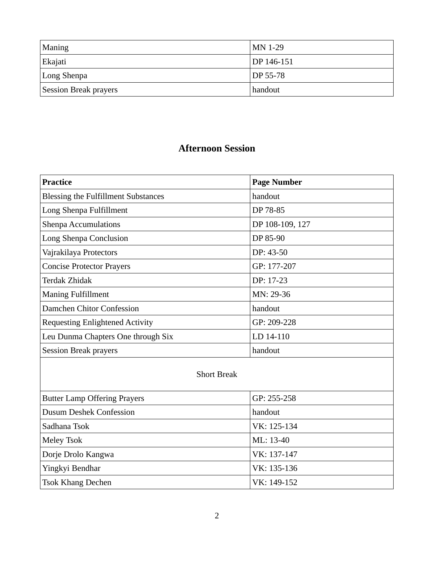| Maning                       | $MN$ 1-29             |
|------------------------------|-----------------------|
| Ekajati                      | DP 146-151            |
| Long Shenpa                  | $\overline{DP}$ 55-78 |
| <b>Session Break prayers</b> | handout               |

## **Afternoon Session**

| Practice                                   | <b>Page Number</b> |
|--------------------------------------------|--------------------|
| <b>Blessing the Fulfillment Substances</b> | handout            |
| Long Shenpa Fulfillment                    | DP 78-85           |
| <b>Shenpa Accumulations</b>                | DP 108-109, 127    |
| Long Shenpa Conclusion                     | DP 85-90           |
| Vajrakilaya Protectors                     | $DP: 43-50$        |
| <b>Concise Protector Prayers</b>           | GP: 177-207        |
| Terdak Zhidak                              | DP: 17-23          |
| <b>Maning Fulfillment</b>                  | MN: 29-36          |
| Damchen Chitor Confession                  | handout            |
| <b>Requesting Enlightened Activity</b>     | GP: 209-228        |
| Leu Dunma Chapters One through Six         | LD 14-110          |
| <b>Session Break prayers</b>               | handout            |

## Short Break

| <b>Butter Lamp Offering Prayers</b> | GP: 255-258 |
|-------------------------------------|-------------|
| <b>Dusum Deshek Confession</b>      | handout     |
| Sadhana Tsok                        | VK: 125-134 |
| Meley Tsok                          | ML: 13-40   |
| Dorje Drolo Kangwa                  | VK: 137-147 |
| Yingkyi Bendhar                     | VK: 135-136 |
| <b>Tsok Khang Dechen</b>            | VK: 149-152 |